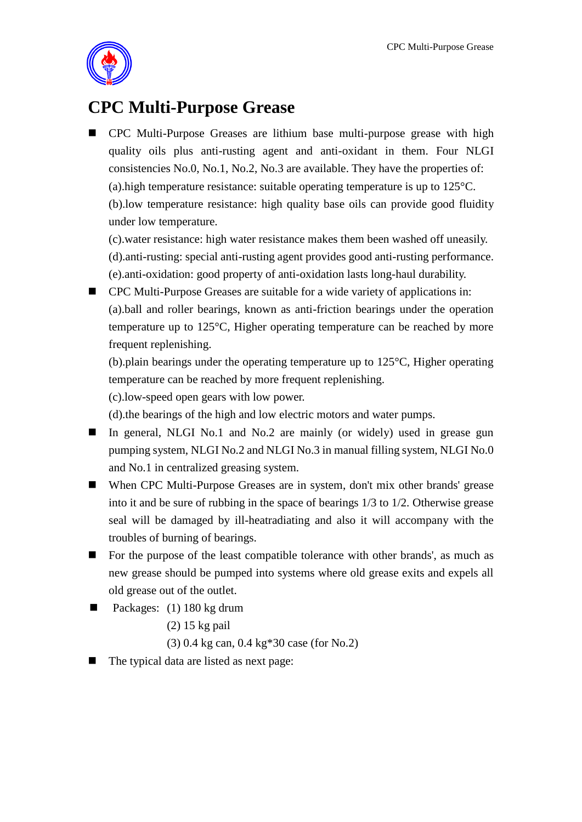

## **CPC Multi-Purpose Grease**

 CPC Multi-Purpose Greases are lithium base multi-purpose grease with high quality oils plus anti-rusting agent and anti-oxidant in them. Four NLGI consistencies No.0, No.1, No.2, No.3 are available. They have the properties of: (a).high temperature resistance: suitable operating temperature is up to 125°C. (b).low temperature resistance: high quality base oils can provide good fluidity under low temperature.

(c).water resistance: high water resistance makes them been washed off uneasily. (d).anti-rusting: special anti-rusting agent provides good anti-rusting performance. (e).anti-oxidation: good property of anti-oxidation lasts long-haul durability.

■ CPC Multi-Purpose Greases are suitable for a wide variety of applications in: (a).ball and roller bearings, known as anti-friction bearings under the operation temperature up to 125°C, Higher operating temperature can be reached by more frequent replenishing.

(b).plain bearings under the operating temperature up to 125°C, Higher operating temperature can be reached by more frequent replenishing.

(c).low-speed open gears with low power.

(d).the bearings of the high and low electric motors and water pumps.

- In general, NLGI No.1 and No.2 are mainly (or widely) used in grease gun pumping system, NLGI No.2 and NLGI No.3 in manual filling system, NLGI No.0 and No.1 in centralized greasing system.
- When CPC Multi-Purpose Greases are in system, don't mix other brands' grease into it and be sure of rubbing in the space of bearings 1/3 to 1/2. Otherwise grease seal will be damaged by ill-heatradiating and also it will accompany with the troubles of burning of bearings.
- For the purpose of the least compatible tolerance with other brands', as much as new grease should be pumped into systems where old grease exits and expels all old grease out of the outlet.
- Packages:  $(1)$  180 kg drum
	- (2) 15 kg pail
	- (3) 0.4 kg can, 0.4 kg\*30 case (for No.2)
- The typical data are listed as next page: